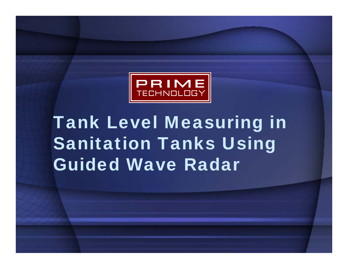

### Tank Level Measuring in Sanitation Tanks Using Guided Wave Radar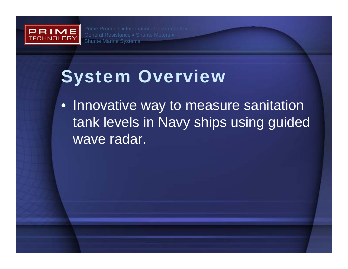

### System Overview

• Innovative way to measure sanitation tank levels in Navy ships using guided wave radar.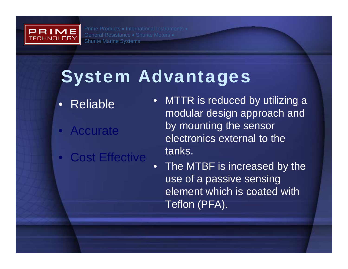

# System Advantages

- Reliable
- $\bullet$ **Accurate**
- $\bullet$ Cost Effective
- MTTR is reduced by utilizing a modular design approach and by mounting the sensor electronics external to the tanks.
- • The MTBF is increased by the use of a passive sensing element which is coated with Teflon (PFA).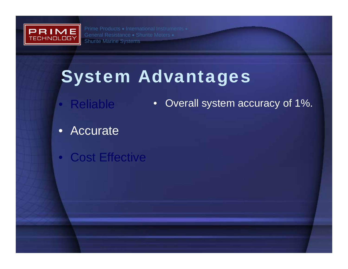

# System Advantages

- Reliable • Overall system accuracy of 1%.
- Accurate
- Cost Effective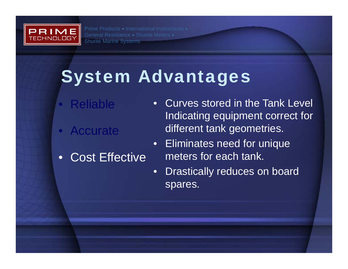

# System Advantages

- Reliable
- $\bullet$ **Accurate**
- $\bullet$ Cost Effective
- • Curves stored in the Tank Level Indicating equipment correct for different tank geometries.
- • Eliminates need for unique meters for each tank.
- •Drastically reduces on board spares.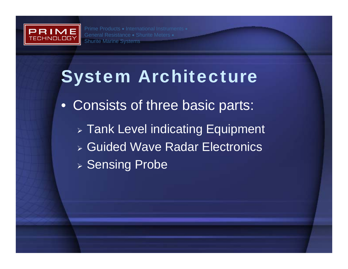

- Consists of three basic parts:
	- $\triangleright$  Tank Level indicating Equipment
	- ¾ Guided Wave Radar Electronics
	- ¾ Sensing Probe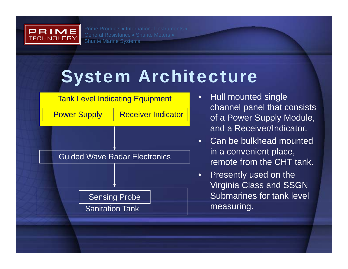



- • Hull mounted single channel panel that consists of a Power Supply Module, and a Receiver/Indicator.
- • Can be bulkhead mounted in a convenient place, remote from the CHT tank.
- $\bullet$  Presently used on the Virginia Class and SSGN Submarines for tank level measuring.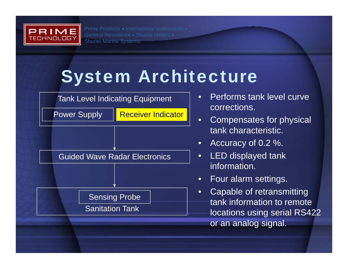



- • Performs tank level curve corrections.
- $\bullet$  Compensates for physical tank characteristic.
- $\bullet$ Accuracy of 0.2 %.
- $\bullet$  LED displayed tank information.
- •Four alarm settings.
- $\bullet$  Capable of retransmitting tank information to remote locations using serial RS422 or an analog signal.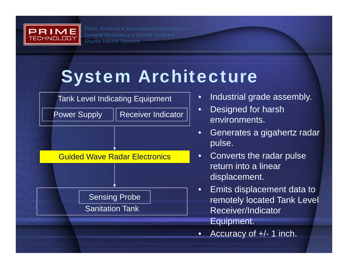



- $\bullet$ Industrial grade assembly.
- $\bullet$  Designed for harsh environments.
- • Generates a gigahertz radar pulse.
- • Converts the radar pulse return into a linear displacement.
- $\bullet$  Emits displacement data to remotely located Tank Level Receiver/Indicator Equipment.
- •Accuracy of +/- 1 inch.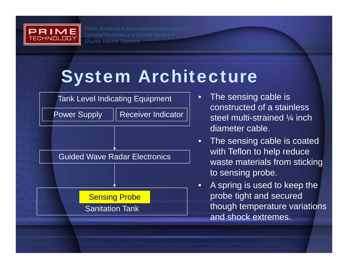



- • The sensing cable is constructed of a stainless steel multi-strained ¼ inch diameter cable.
- • The sensing cable is coated with Teflon to help reduce waste materials from sticking to sensing probe.
- $\bullet$  A spring is used to keep the probe tight and secured though temperature variations and shock extremes.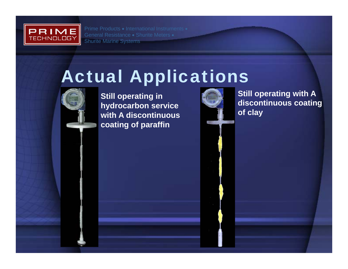

#### Actual Applications



**Still operating in hydrocarbon service with A discontinuous coating of paraffin**



**Still operating with A discontinuous coating of clay**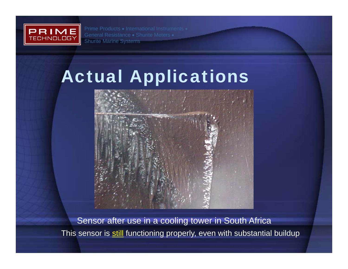

## Actual Applications



Sensor after use in a cooling tower in South Africa This sensor is still functioning properly, even with substantial buildup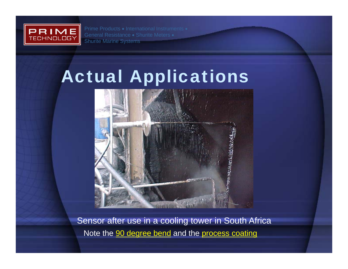

# Actual Applications



Sensor after use in a cooling tower in South Africa Note the 90 degree bend and the process coating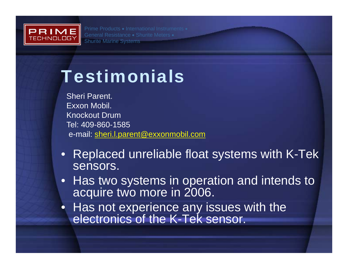

#### Testimonials

Sheri Parent. Exxon Mobil.Knockout DrumTel: 409-860-1585e-mail: sheri.l.parent@exxonmobil.com

- Replaced unreliable float systems with K-Tek sensors.
- Has two systems in operation and intends to acquire two more in 2006.
- $\bullet$  Has not experience any issues with the electronics of the K-Tek sensor.